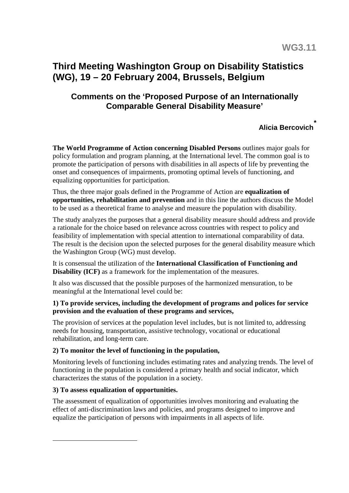# <span id="page-0-0"></span>**Third Meeting Washington Group on Disability Statistics (WG), 19 – 20 February 2004, Brussels, Belgium**

# **Comments on the 'Proposed Purpose of an Internationally Comparable General Disability Measure'**

# **Alicia Bercovich[\\*](#page-0-0)**

**The World Programme of Action concerning Disabled Persons** outlines major goals for policy formulation and program planning, at the International level. The common goal is to promote the participation of persons with disabilities in all aspects of life by preventing the onset and consequences of impairments, promoting optimal levels of functioning, and equalizing opportunities for participation.

Thus, the three major goals defined in the Programme of Action are **equalization of opportunities, rehabilitation and prevention** and in this line the authors discuss the Model to be used as a theoretical frame to analyse and measure the population with disability.

The study analyzes the purposes that a general disability measure should address and provide a rationale for the choice based on relevance across countries with respect to policy and feasibility of implementation with special attention to international comparability of data. The result is the decision upon the selected purposes for the general disability measure which the Washington Group (WG) must develop.

It is consensual the utilization of the **International Classification of Functioning and Disability (ICF)** as a framework for the implementation of the measures.

It also was discussed that the possible purposes of the harmonized mensuration, to be meaningful at the International level could be:

## **1) To provide services, including the development of programs and polices for service provision and the evaluation of these programs and services,**

The provision of services at the population level includes, but is not limited to, addressing needs for housing, transportation, assistive technology, vocational or educational rehabilitation, and long-term care.

# **2) To monitor the level of functioning in the population,**

Monitoring levels of functioning includes estimating rates and analyzing trends. The level of functioning in the population is considered a primary health and social indicator, which characterizes the status of the population in a society.

# **3) To assess equalization of opportunities.**

 $\overline{a}$ 

The assessment of equalization of opportunities involves monitoring and evaluating the effect of anti-discrimination laws and policies, and programs designed to improve and equalize the participation of persons with impairments in all aspects of life.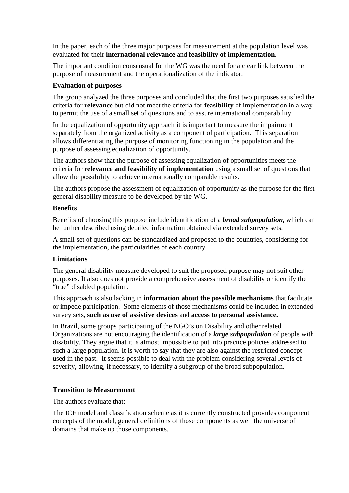In the paper, each of the three major purposes for measurement at the population level was evaluated for their **international relevance** and **feasibility of implementation.**

The important condition consensual for the WG was the need for a clear link between the purpose of measurement and the operationalization of the indicator.

#### **Evaluation of purposes**

The group analyzed the three purposes and concluded that the first two purposes satisfied the criteria for **relevance** but did not meet the criteria for **feasibility** of implementation in a way to permit the use of a small set of questions and to assure international comparability.

In the equalization of opportunity approach it is important to measure the impairment separately from the organized activity as a component of participation. This separation allows differentiating the purpose of monitoring functioning in the population and the purpose of assessing equalization of opportunity.

The authors show that the purpose of assessing equalization of opportunities meets the criteria for **relevance and feasibility of implementation** using a small set of questions that allow the possibility to achieve internationally comparable results.

The authors propose the assessment of equalization of opportunity as the purpose for the first general disability measure to be developed by the WG.

#### **Benefits**

Benefits of choosing this purpose include identification of a *broad subpopulation,* which can be further described using detailed information obtained via extended survey sets.

A small set of questions can be standardized and proposed to the countries, considering for the implementation, the particularities of each country.

## **Limitations**

The general disability measure developed to suit the proposed purpose may not suit other purposes. It also does not provide a comprehensive assessment of disability or identify the "true" disabled population.

This approach is also lacking in **information about the possible mechanisms** that facilitate or impede participation. Some elements of those mechanisms could be included in extended survey sets, **such as use of assistive devices** and **access to personal assistance.**

In Brazil, some groups participating of the NGO's on Disability and other related Organizations are not encouraging the identification of a *large subpopulation* of people with disability. They argue that it is almost impossible to put into practice policies addressed to such a large population. It is worth to say that they are also against the restricted concept used in the past. It seems possible to deal with the problem considering several levels of severity, allowing, if necessary, to identify a subgroup of the broad subpopulation.

## **Transition to Measurement**

The authors evaluate that:

The ICF model and classification scheme as it is currently constructed provides component concepts of the model, general definitions of those components as well the universe of domains that make up those components.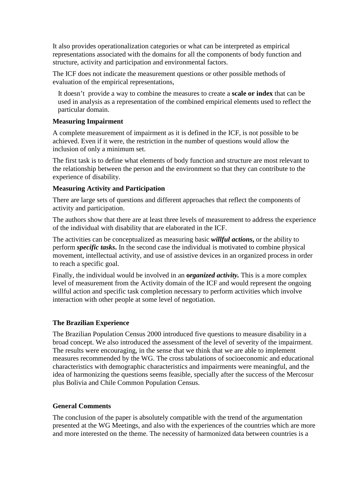It also provides operationalization categories or what can be interpreted as empirical representations associated with the domains for all the components of body function and structure, activity and participation and environmental factors.

The ICF does not indicate the measurement questions or other possible methods of evaluation of the empirical representations,

 It doesn't provide a way to combine the measures to create a **scale or index** that can be used in analysis as a representation of the combined empirical elements used to reflect the particular domain.

#### **Measuring Impairment**

A complete measurement of impairment as it is defined in the ICF, is not possible to be achieved. Even if it were, the restriction in the number of questions would allow the inclusion of only a minimum set.

The first task is to define what elements of body function and structure are most relevant to the relationship between the person and the environment so that they can contribute to the experience of disability.

#### **Measuring Activity and Participation**

There are large sets of questions and different approaches that reflect the components of activity and participation.

The authors show that there are at least three levels of measurement to address the experience of the individual with disability that are elaborated in the ICF.

The activities can be conceptualized as measuring basic *willful actions***,** or the ability to perform *specific tasks***.** In the second case the individual is motivated to combine physical movement, intellectual activity, and use of assistive devices in an organized process in order to reach a specific goal.

Finally, the individual would be involved in an **o***rganized activity.* This is a more complex level of measurement from the Activity domain of the ICF and would represent the ongoing willful action and specific task completion necessary to perform activities which involve interaction with other people at some level of negotiation.

## **The Brazilian Experience**

The Brazilian Population Census 2000 introduced five questions to measure disability in a broad concept. We also introduced the assessment of the level of severity of the impairment. The results were encouraging, in the sense that we think that we are able to implement measures recommended by the WG. The cross tabulations of socioeconomic and educational characteristics with demographic characteristics and impairments were meaningful, and the idea of harmonizing the questions seems feasible, specially after the success of the Mercosur plus Bolivia and Chile Common Population Census.

#### **General Comments**

The conclusion of the paper is absolutely compatible with the trend of the argumentation presented at the WG Meetings, and also with the experiences of the countries which are more and more interested on the theme. The necessity of harmonized data between countries is a